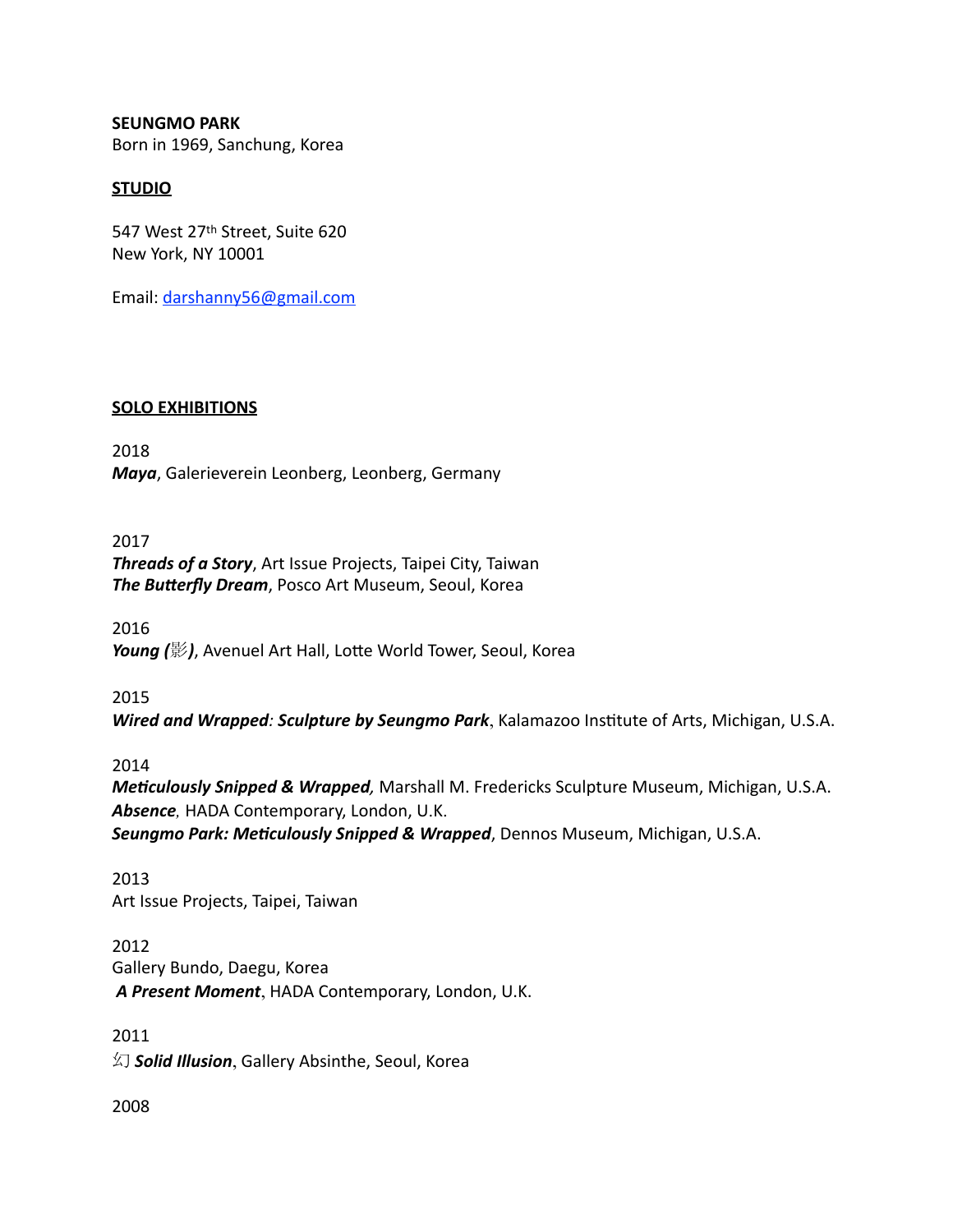**SEUNGMO PARK**  Born in 1969, Sanchung, Korea

# **STUDIO**

547 West 27<sup>th</sup> Street, Suite 620 New York, NY 10001 

Email: [darshanny56@gmail.com](mailto:darshanny56@gmail.com)

### **SOLO EXHIBITIONS**

2018 *Maya*, Galerieverein Leonberg, Leonberg, Germany

# 2017

**Threads of a Story**, Art Issue Projects, Taipei City, Taiwan **The Butterfly Dream**, Posco Art Museum, Seoul, Korea

2016 **Young** (影), Avenuel Art Hall, Lotte World Tower, Seoul, Korea

2015

*Wired and Wrapped: Sculpture by Seungmo Park*, Kalamazoo Institute of Arts, Michigan, U.S.A.

2014

*Meticulously Snipped & Wrapped, Marshall M. Fredericks Sculpture Museum, Michigan, U.S.A.* Absence, HADA Contemporary, London, U.K.

**Seungmo Park: Meticulously Snipped & Wrapped**, Dennos Museum, Michigan, U.S.A.

2013 Art Issue Projects, Taipei, Taiwan

2012 Gallery Bundo, Daegu, Korea  *A Present Moment*, HADA Contemporary, London, U.K.

2011 幻 *Solid Illusion*, Gallery Absinthe, Seoul, Korea

2008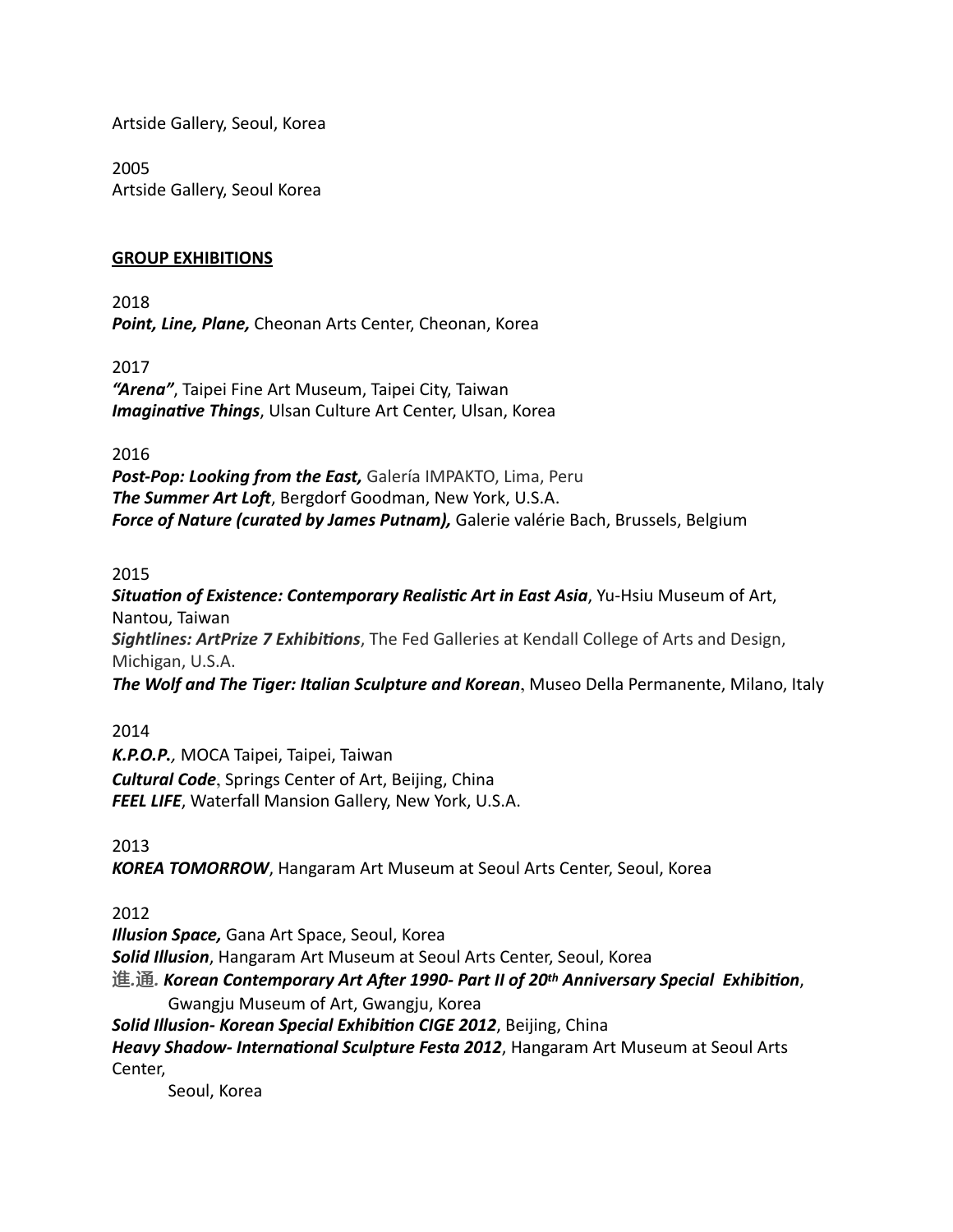Artside Gallery, Seoul, Korea

2005 Artside Gallery, Seoul Korea

# **GROUP EXHIBITIONS**

2018 **Point, Line, Plane, Cheonan Arts Center, Cheonan, Korea** 

2017

**"Arena"**, Taipei Fine Art Museum, Taipei City, Taiwan **Imaginative Things**, Ulsan Culture Art Center, Ulsan, Korea

2016 

**Post-Pop: Looking from the East, Galería IMPAKTO, Lima, Peru** *The Summer Art Loft, Bergdorf Goodman, New York, U.S.A.* **Force of Nature (curated by James Putnam),** Galerie valérie Bach, Brussels, Belgium

2015

**Situation of Existence: Contemporary Realistic Art in East Asia**, Yu-Hsiu Museum of Art, Nantou, Taiwan **Sightlines: ArtPrize 7 Exhibitions**, The Fed Galleries at Kendall College of Arts and Design, Michigan, U.S.A. **The Wolf and The Tiger: Italian Sculpture and Korean**, Museo Della Permanente, Milano, Italy

2014 *K.P.O.P.,* MOCA Taipei, Taipei, Taiwan *Cultural Code*, Springs Center of Art, Beijing, China **FEEL LIFE**, Waterfall Mansion Gallery, New York, U.S.A.

2013

**KOREA TOMORROW**, Hangaram Art Museum at Seoul Arts Center, Seoul, Korea

2012

**Illusion Space,** Gana Art Space, Seoul, Korea

**Solid Illusion**, Hangaram Art Museum at Seoul Arts Center, Seoul, Korea

進.通. Korean Contemporary Art After 1990- Part II of 20<sup>th</sup> Anniversary Special Exhibition,

Gwangju Museum of Art, Gwangju, Korea

Solid Illusion- Korean Special Exhibition CIGE 2012, Beijing, China

*Heavy Shadow- International Sculpture Festa 2012*, Hangaram Art Museum at Seoul Arts Center, 

Seoul, Korea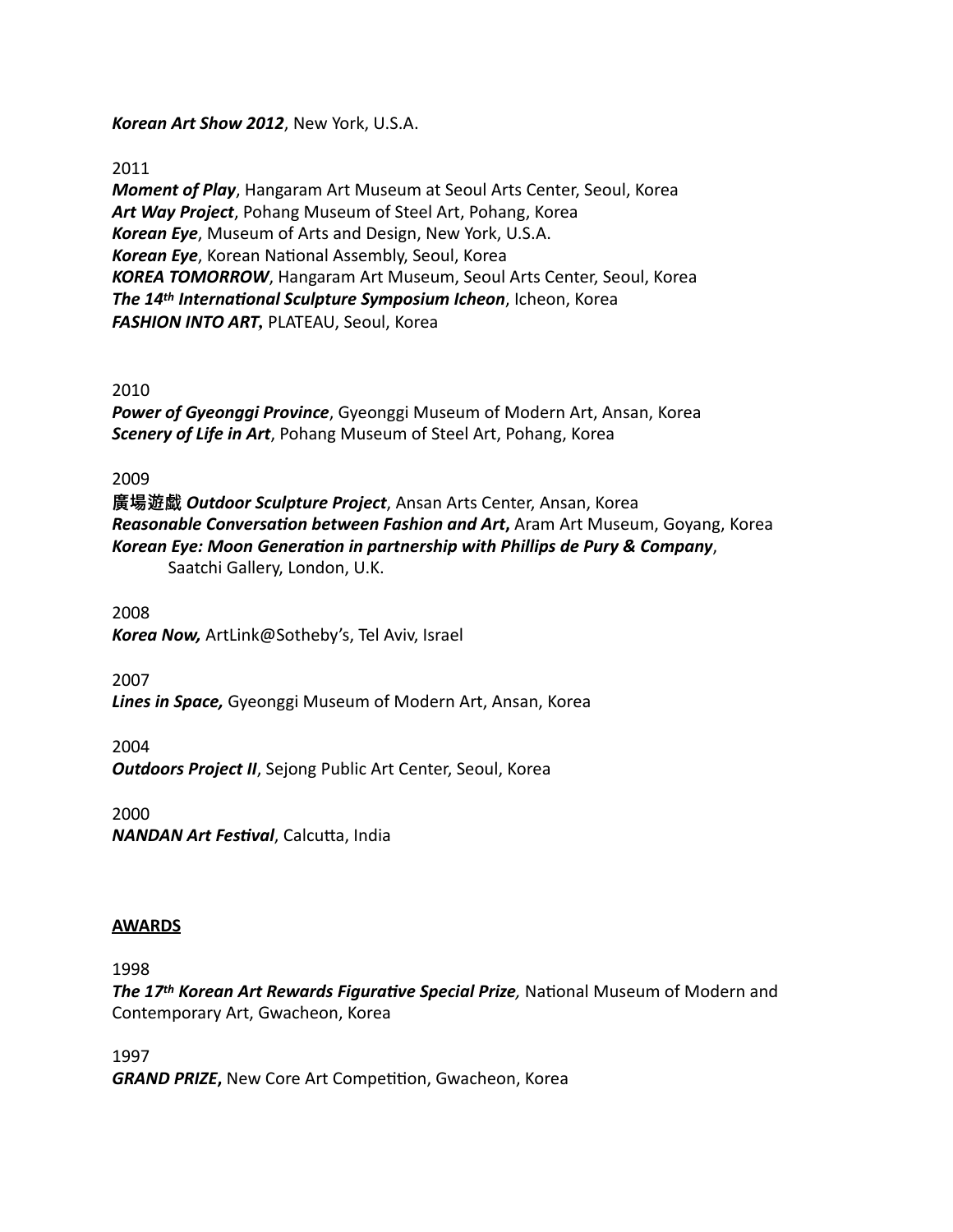*Korean Art Show 2012, New York, U.S.A.* 

2011

*Moment of Play*, Hangaram Art Museum at Seoul Arts Center, Seoul, Korea Art Way Project, Pohang Museum of Steel Art, Pohang, Korea *Korean Eye, Museum of Arts and Design, New York, U.S.A.* Korean Eye, Korean National Assembly, Seoul, Korea KOREA TOMORROW, Hangaram Art Museum, Seoul Arts Center, Seoul, Korea *The 14<sup>th</sup> International Sculpture Symposium Icheon***, Icheon, Korea** *FASHION INTO ART*, PLATEAU, Seoul, Korea

### 2010

**Power of Gyeonggi Province**, Gyeonggi Museum of Modern Art, Ansan, Korea **Scenery of Life in Art**, Pohang Museum of Steel Art, Pohang, Korea

2009

**廣場遊戱** *Outdoor Sculpture Project*, Ansan Arts Center, Ansan, Korea **Reasonable Conversation between Fashion and Art, Aram Art Museum, Goyang, Korea** *Korean Eye: Moon Generation in partnership with Phillips de Pury & Company,* Saatchi Gallery, London, U.K.

2008 Korea Now, ArtLink@Sotheby's, Tel Aviv, Israel

2007 Lines in Space, Gyeonggi Museum of Modern Art, Ansan, Korea

2004 **Outdoors Project II**, Sejong Public Art Center, Seoul, Korea

2000 **NANDAN Art Festival**, Calcutta, India

# **AWARDS**

1998 

*The 17th Korean Art Rewards Figurative Special Prize*, National Museum of Modern and Contemporary Art, Gwacheon, Korea

1997 *GRAND PRIZE*, New Core Art Competition, Gwacheon, Korea